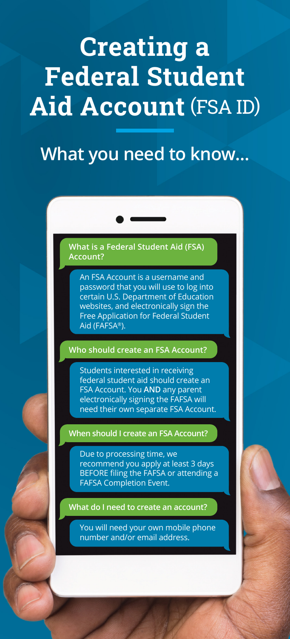# **Creating a Federal Student Aid Account** (FSA ID)

## **What you need to know...**

### **What is a Federal Student Aid (FSA) Account?**

An FSA Account is a username and password that you will use to log into certain U.S. Department of Education websites, and electronically sign the Free Application for Federal Student Aid (FAFSA®).

#### **Who should create an FSA Account?**

Students interested in receiving federal student aid should create an FSA Account. You **AND** any parent electronically signing the FAFSA will need their own separate FSA Account.

**When should I create an FSA Account?**

Due to processing time, we recommend you apply at least 3 days BEFORE filing the FAFSA or attending a FAFSA Completion Event.

**What do I need to create an account?**

You will need your own mobile phone number and/or email address.